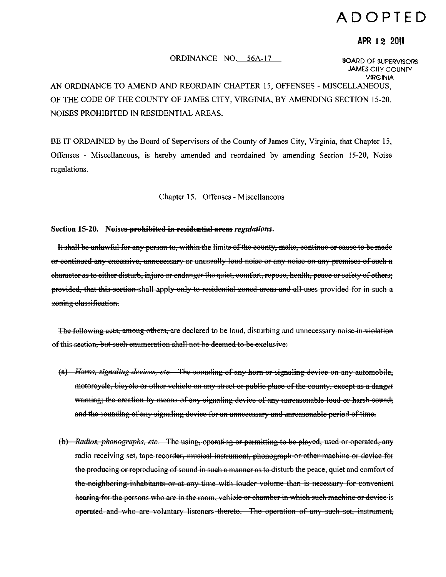# ADOPTED

# APR 12 2011

### ORDINANCE NO. 56A-17

**BOARD OF SUPERVISORS JAMES CITY COUNTY VIRGINIA** 

# AN ORDINANCE TO AMEND AND REORDAIN CHAPTER 15, OFFENSES - MISCELLANEOUS. OF THE CODE OF THE COUNTY OF JAMES CITY, VIRGINIA, BY AMENDING SECTION 15-20, NOISES PROHIBITED IN RESIDENTIAL AREAS.

BE IT ORDAINED by the Board of Supervisors of the County of James City, Virginia, that Chapter 15. Offenses - Miscellaneous, is hereby amended and reordained by amending Section 15-20, Noise regulations.

Chapter 15. Offenses - Miscellaneous

#### Section 15-20. Noises prohibited in residential areas regulations.

It shall be unlawful for any person to, within the limits of the county, make, continue or cause to be made or continued any excessive, unnecessary or unusually loud noise or any noise on any premises of such a character as to either disturb, injure or endanger the quiet, comfort, repose, health, peace or safety of others; provided, that this section shall apply only to residential zoned areas and all uses provided for in such a zoning classification.

The following acts, among others, are declared to be loud, disturbing and unnecessary noise in violation of this section, but such enumeration shall not be deemed to be exclusive:

- (a) Horns, signaling devices, etc. The sounding of any horn or signaling device on any automobile, motoroyole, bicycle or other vehicle on any street or public place of the county, except as a danger warning; the creation by means of any signaling device of any unreasonable loud or harsh sound; and the sounding of any signaling device for an unnecessary and unreasonable period of time.
- (b) Radios, phonographs, etc. The using, operating or permitting to be played, used or operated, any radio receiving set, tape recorder, musical instrument, phonograph or other machine or device for the producing or reproducing of sound in such a manner as to disturb the peace, quiet and comfort of the neighboring inhabitants or at any time with louder volume than is necessary for convenient hearing for the persons who are in the room, vehicle or chamber in which such machine or device is operated and who are voluntary listeners thereto. The operation of any such set, instrument,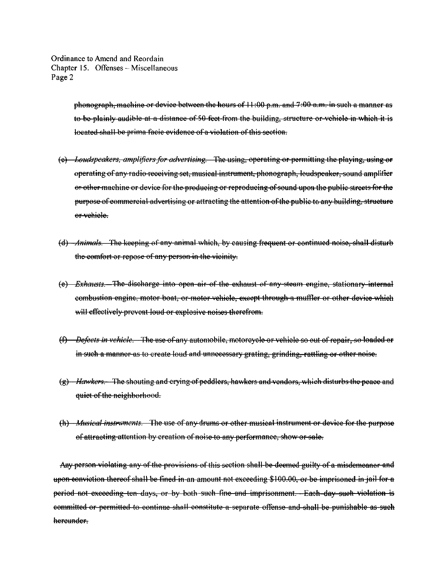> phonograph, machine or device between the hours of 11:00 p.m. and 7:00 a.m. in such a manner as to be plainly audible at a distance of 50 feet from the building, structure or vehicle in which it is located shall be prima facie evidence of a violation of this section.

- (e) Loudspeakers, amplifiers for advertising. The using, operating or permitting the playing, using or operating of any radio receiving set, musical instrument, phonograph, loudspeaker, sound amplifier or other machine or device for the producing or reproducing of sound upon the public streets for the purpose of commercial advertising or attracting the attention of the public to any building, structure or vehiele.
- (d) *Animals*. The keeping of any animal which, by causing frequent or continued noise, shall disturb the comfort or repose of any person in the vicinity.
- (e) *Exhausts*. The discharge into open air of the exhaust of any steam engine, stationary internal combustion engine, motor boat, or motor vehicle, except through a muffler or other device which will effectively prevent loud or explosive noises therefrom.
- (f) Defects in vehicle. The use of any automobile, motoreyele or vehicle so out of repair, so loaded or in such a manner as to create loud and unnecessary grating, grinding, rattling or other noise.
- (g) Hawkers. The shouting and crying of peddlers, hawkers and vendors, which disturbs the peace and quiet of the neighborhood.
- (h) Musical instruments. The use of any drums or other musical instrument or device for the purpose of attracting attention by creation of noise to any performance, show or sale.

Any person-violating any of the provisions of this section shall-be-deemed guilty of a misdemeanor and upon conviction thereof shall be fined in an amount not exceeding \$100.00, or be imprisoned in jail for a period not exceeding ten days, or by both such fine and imprisonment. Each day such violation is committed or permitted to continue shall constitute a separate offense and shall be punishable as such hereunder-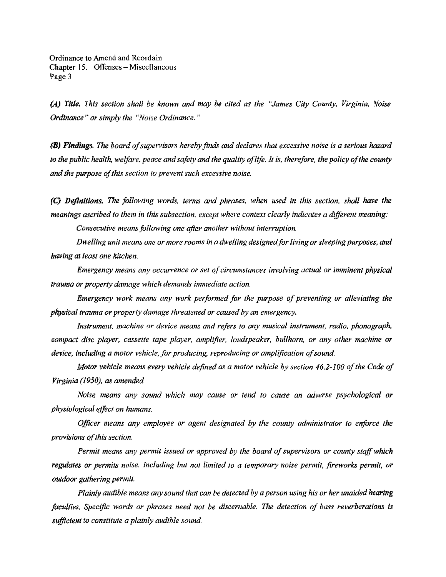*(A) Title. This section shall be known and may be cited as the "James City County. Virginia. Noise Ordinance" or simply the "Noise Ordinance, "* 

*(B) Findings. The board ofsupervisors hereby finds and declares that excessive noise is a serious hazard*  to the public health, welfare, peace and safety and the quality of life. It is, therefore, the policy of the county *and the purpose of this section to prevent such excessive noise.* 

*(C) Defmitions. The following words. terms and phrases, when used in this section. shall have the meanings ascribed to them in this subsection. except where context clearly indicates a different meaning:* 

*Consecutive means following one after another without interruption.* 

*Dwelling unit means one or more rooms in a dwelling designed Jor living or sleeping purposes. and having at least one kitchen.* 

*Emergency means any occurrence or set of circumstances involving actual or imminent physical trauma or property damage which demands immediate action.* 

*Emergency work means any work performed for the purpose of preventing or alleviating the phpstaa! trauma or property damage threatened or caused by an emergency.* 

*Instrument. machine or device means and refers to any musical instrument. radio. phonograph. compact disc player. cassette tape player. amplifier. loudspeaker. bullhorn. or any other machine or device. including a motor vehicle. Jor producing. reproducing or amplification ojsound.* 

*Motor vehicle means every vehicle defined as a motor vehicle by section 46.2-100 of the Code of Virginia (1950). as amended.* 

*Noise means any sound which may cause or tend to cause an adverse psychological or physiological effoct on humans,* 

*Officer means any employee or agent designated by the county administrator to enforce the provisions ojthis section,* 

*Permit means any permit issued or approved by the board of supervisors or county staff which* regulates or permits noise, including but not limited to a temporary noise permit, fireworks permit, or *outdoor gathering permit.* 

*Plainly audible means any sound that can be detected by a person using his or her unaided hearing /aculties, Specific words or phrases need not be discernable, The detection of bass reverberations* is *sufficient to constitute a plainly audible sound.*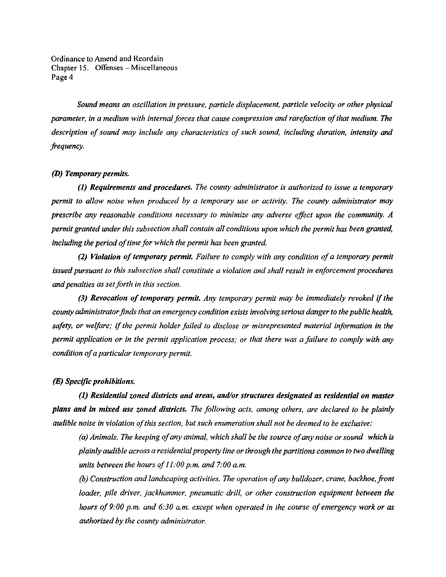*Sound means an oscillation in pressure, particle displacement, particle velocity or other physical parameter, in a medium with internal forces that cause compression and rarefaction ofthat medium. The description of sound may include any characteristics of such sound. including duration, intensity and frequency,* 

# *(D)* Temporary permits.

*(1) Requirements and procedures. The county administrator is authorized to issue a temporary permit to allow noise when produced by a temporary use or activity. The county administrator may prescribe any reasonable conditions necessary to minimize any adverse effect upon the community. A permit granted under this subsection shall contain all conditions upon which the permit has been granted, including the period of time for which the permit has been granted.* 

(2) Violation of temporary permit. Failure to comply with any condition of a temporary permit *issued pursuant to this subsection shall constitute a violation and shall result in enforcement procedures and penalties as set forth in this section.* 

(3) Revocation of temporary permit. Any temporary permit may be immediately revoked if the *county administrator finds that an emergency condition exists involving serious danger to the public health.*  safety, or welfare; if the permit holder failed to disclose or misrepresented material information in the *permit application or in the permit application process; or that there was a failure to comply with any conditian ofa particular temporary permit.* 

#### *(E) SpecifIC prohibitions.*

*(1) Residential zoned districts and areas, and/or structures designated as residential on master plans and* in *mixed use zoned districts. The following acts. among others, are declared to be plainly audible noise in violation ofthis section, but such enumeration shall not be deemed to be exclusive:* 

*(a) Animals. The keeping ofany animal, which shall be the source ofany noise or sound which Is plainly audible across a residential property line or through the partitions common to two dwelling units between the hours of 11:00 p.m. and 7:00 a.m.* 

*(b) Construction and landscaping activities. The operation ofany bulldozer, crane, backhoe,front loader, pile driver, jackhammer, pneumatic drill, or other construction equipment between the hours of 9:00 p.m. and 6:30 a.m. except when operated in the course of emergency work or as authorised by the county odministrator.*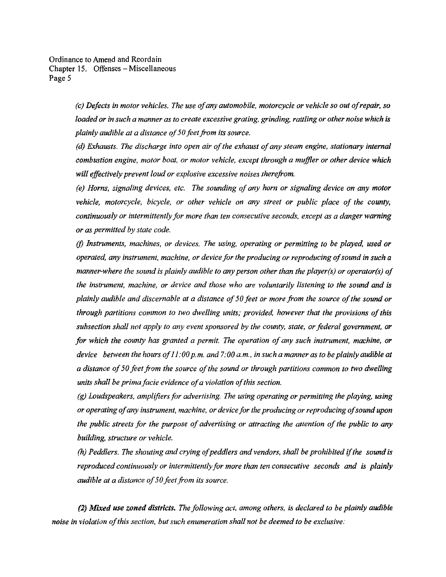> *(c) Defects in motor vehicles. The use of any automobile, motorcycle or vehicle so out of repair, so loaded or in such a manner as to create excessive grating, grinding, rattling or other noise which is plainly audible at a distance of50 feet from its source.*

> *(d) Exhausts.* The *discharge into open air ofthe exhaust ofany steam engine, stationary internal combustion engine, motor boat, or motor vehicle, except through a muffler or other device which will effectively prevent loud or explosive excessive noises therefrom.*

> *(e) Horns, signaling devices, etc. The sounding ofany horn or signaling device on any motor vehicle, motorcycle, bicycle, or other vehicle on any street or public place of the county, continuously or intermittently for more than ten consecutive seconds, except as a danger warning or as permitted by state code.*

> *(j) instruments, machines. or devices. The using, operating or permitting to be played, used or operated, any instrument, machine, or device for the producing or reproducing of sound in such a manner-where the sound is plainly audible to any person other than the player(s) or operator(s) of the instrument. machine. or device and those who are voluntarily listening to the sound and is plainly audible and discernable at a distance of 50 feet or more from the source of the sound or through portitions common to two dwelling units; provided. however that the provisions ofthis subsection shall not apply to any event sponsored by the county. state, or foderal government, or for which the county has granted a permit. The operation of any such instrument. machine, or*  device between the hours of 11:00 p.m. and 7:00 a.m., in such a manner as to be plainly audible at *a distance of 50 feet from the source of the sound or through partitions common to two dwelling units shall be prima facie evidence of a violation of this section.*

> *(g) Loudspeakers, amplifiers for advertising. The using operating or permitting the playing, using or operating ofany instrument, machine, or device for the producing or reproducing ofsound upon the public streets for the purpose of advertising or attracting the attention of the public to any building, structure or vehicle.*

> *(h) Peddlers. The shouting and crying of peddlers and vendors, shall be prohibited if the sound is reproduced continuously or intermittently for more than ten consecutive seconds and* is *plainly audible at a distance of50 foet from its source.*

(1) *Mixed use zoned districts, The following act. among others, is declared to be plainly audible noise in violation ofthis section, but such enumeration shall not be deemed to be exclusive:*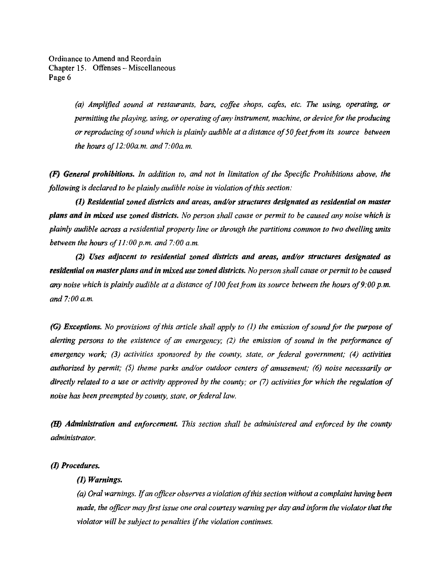> (a) Amplified sound at restaurants, bars, coffee shops, cafes, etc. The using, operating, or *permitting the playing, using, or operating ofany instrument, machine, or device for the producing or reproducing ofsound which is plainly audible at a distance of50 feet from its source between the hours of12:00a.m. and 7:00a.m.*

(F) *General prohibitions. In addition to, and not in limitation of the Specific Prohibitions above, the following* is *declared to be plainly audible noise* in *violation ofthis section:* 

(1) *Residential zoned districts and areas, andlor structures designated as residential on master plans* and *in mixed use zoned districts. No person shall cause or permit to be caused any noise which* is *plainly audible across a residential property line or through the partitions common to two dwelling units between the hours qf11:00 p.m. and 7:00 a.m.* 

(1) *Uses adjacent to residential zoned districts and areas, undlor structures designated us*  residential on master plans and in mixed use zoned districts. No person shall cause or permit to be caused any noise which is plainly audible at a distance of 100 feet from its source between the hours of 9:00 p.m. *and 7:00 a.m.* 

*(G) Exceptians. No provisions ofthis article shall apply to {I} the emission ofsound for the purpose of alerting persons to the existence of an emergency;* (2) *the emission of sound in the performance of emergency work; (3) activities sponsored by the county, state, or federal government; (4) activities authorized by permit;* (5) *theme parks andlor outdoor centers of amusement;* (6) *noise necessarily or directly related to a use or activity approved by the county; or* (7) *activities for which the regulation of noise has been preempted by county, state, or federal law.* 

(lI) *Administration and enforcement. This section shall be administered and enforced by the county ndministrator.* 

# *(1) Procedures.*

#### (I) *Warnings.*

*(a) Oral warnings.* If*an officer observes a violation ofthis section without a complaint having been made, the officer may first issue one oral courtesy warning per day and inform the violator that the violator will be subject to penalties* if*the violation continues.*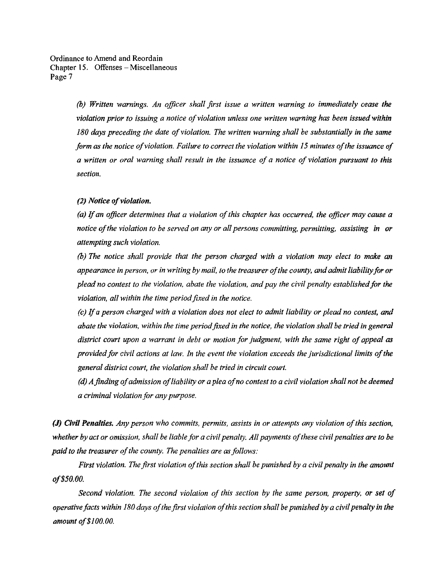> *(b) Written warnings. An officer shall first issue a written warning to immediately cease the violation prior to issuing a notice of violation unless one written warning has been issued within* 180 days preceding the date of violation. The written warning shall be substantially in the same form as the notice of violation. Failure to correct the violation within 15 minutes of the issuance of *a written or oral warning shall result in the issuance of a notice of violation pursuant to this section.*

#### *(2) Notice of violation.*

*(a)* If*an qfllcer determines that a violation ofthis chapter has occurred, the officer may cause a notice of the violation to be served on any or all persons committing, permitting, assisting in or attempting such violation.* 

*(b) The notice shall provide that the person charged with a violation* may *elect to make an*  appearance in person, or in writing by mail, to the treasurer of the county, and admit liability for or *plead no contest to the violation. abate the violation. and pay the civil penalty established for the violation, all within the time period fixed in the notice.* 

(c) If*a person charged with a violation does not elect to admit liability or plead no contest, and abate the violation, within the time period fixed in the notice, the violation shall be tried in general*  district court upon a warrant in debt or motion for judgment, with the same right of appeal as *provided for civil actions at law. In the event the violation exceeds the jurisdictional limits ofthe general district court. the violation shall be tried in circuit court.* 

*(d) A finding of admission of liability or a plea of no contest to a civil violation shall not be deemed a criminal violation for any purpose.* 

(J) Civil Penalties. Any person who commits, permits, assists in or attempts any violation of this section, *whether by act or omission, shall be liable for a civil penalty. All payments of these civil penalties are to be paid to the treasurer of the county. The penalties are as follows:* 

*First violation. The first violation ofthis section shall be punished by a civil penalty in the amount aj'\$SO.OO.* 

*Second violation. The second violation of this section by the same person. property, or set of operative facts within 180 days ofthe first violation ofthis section shall be punished by a civil penalty in the amount of\$100.00.*